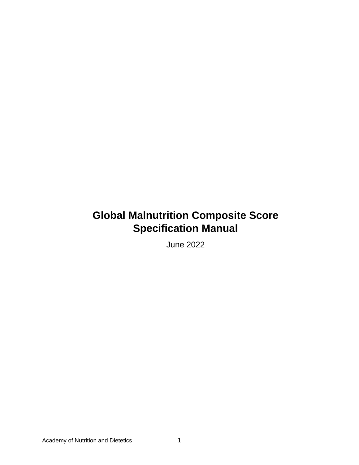### **Global Malnutrition Composite Score Specification Manual**

June 2022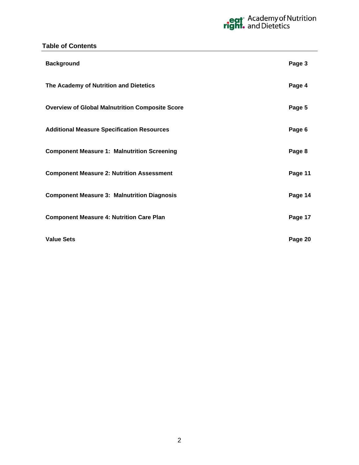#### **Table of Contents**

| <b>Background</b>                                      | Page 3  |
|--------------------------------------------------------|---------|
| The Academy of Nutrition and Dietetics                 | Page 4  |
| <b>Overview of Global Malnutrition Composite Score</b> | Page 5  |
| <b>Additional Measure Specification Resources</b>      | Page 6  |
| <b>Component Measure 1: Malnutrition Screening</b>     | Page 8  |
| <b>Component Measure 2: Nutrition Assessment</b>       | Page 11 |
| <b>Component Measure 3: Malnutrition Diagnosis</b>     | Page 14 |
| <b>Component Measure 4: Nutrition Care Plan</b>        | Page 17 |
| <b>Value Sets</b>                                      | Page 20 |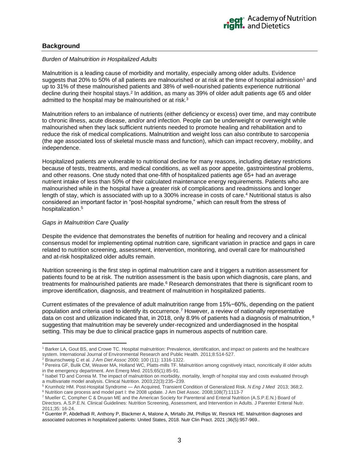#### <span id="page-2-0"></span>**Background**

#### *Burden of Malnutrition in Hospitalized Adults*

Malnutrition is a leading cause of morbidity and mortality, especially among older adults. Evidence suggests that 20% to 50% of all patients are malnourished or at risk at the time of hospital admission<sup>1</sup> and up to 31% of these malnourished patients and 38% of well-nourished patients experience nutritional decline during their hospital stays.<sup>2</sup> In addition, as many as 39% of older adult patients age 65 and older admitted to the hospital may be malnourished or at risk.<sup>3</sup>

Malnutrition refers to an imbalance of nutrients (either deficiency or excess) over time, and may contribute to chronic illness, acute disease, and/or and infection. People can be underweight or overweight while malnourished when they lack sufficient nutrients needed to promote healing and rehabilitation and to reduce the risk of medical complications. Malnutrition and weight loss can also contribute to sarcopenia (the age associated loss of skeletal muscle mass and function), which can impact recovery, mobility, and independence.

Hospitalized patients are vulnerable to nutritional decline for many reasons, including dietary restrictions because of tests, treatments, and medical conditions, as well as poor appetite, gastrointestinal problems, and other reasons. One study noted that one-fifth of hospitalized patients age 65+ had an average nutrient intake of less than 50% of their calculated maintenance energy requirements. Patients who are malnourished while in the hospital have a greater risk of complications and readmissions and longer length of stay, which is associated with up to a 300% increase in costs of care. <sup>4</sup> Nutritional status is also considered an important factor in "post-hospital syndrome," which can result from the stress of hospitalization. 5

#### *Gaps in Malnutrition Care Quality*

Despite the evidence that demonstrates the benefits of nutrition for healing and recovery and a clinical consensus model for implementing optimal nutrition care, significant variation in practice and gaps in care related to nutrition screening, assessment, intervention, monitoring, and overall care for malnourished and at-risk hospitalized older adults remain.

Nutrition screening is the first step in optimal malnutrition care and it triggers a nutrition assessment for patients found to be at risk. The nutrition assessment is the basis upon which diagnosis, care plans, and treatments for malnourished patients are made.<sup>6</sup> Research demonstrates that there is significant room to improve identification, diagnosis, and treatment of malnutrition in hospitalized patients.

Current estimates of the prevalence of adult malnutrition range from 15%−60%, depending on the patient population and criteria used to identify its occurrence.<sup>7</sup> However, a review of nationally representative data on cost and utilization indicated that, in 2018, only 8.9% of patients had a diagnosis of malnutrition, <sup>8</sup> suggesting that malnutrition may be severely under-recognized and underdiagnosed in the hospital setting. This may be due to clinical practice gaps in numerous aspects of nutrition care.

<sup>1</sup> Barker LA, Gout BS, and Crowe TC. Hospital malnutrition: Prevalence, identification, and impact on patients and the healthcare system. International Journal of Environmental Research and Public Health. 2011;8:514-527.

<sup>2</sup> Braunschweig C et al*. J Am Diet Assoc* 2000; 100 (11): 1316-1322.

<sup>&</sup>lt;sup>3</sup> Pereira GF, Bulik CM, Weaver MA, Holland WC, Platts-mills TF. Malnutrition among cognitively intact, noncritically ill older adults in the emergency department. Ann Emerg Med. 2015;65(1):85-91.

<sup>&</sup>lt;sup>4</sup> Isabel TD and Correia M. The impact of malnutrition on morbidity, mortality, length of hospital stay and costs evaluated through a multivariate model analysis. Clinical Nutrition. 2003;22(3):235–239.

<sup>5</sup> Krumholz HM. Post-Hospital Syndrome — An Acquired, Transient Condition of Generalized Risk. *N Eng J Med* 2013; 368;2. <sup>6</sup> Nutrition care process and model part I: the 2008 update. J Am Diet Assoc. 2008;108(7):1113-7

<sup>7</sup> Mueller C, Compher C & Druyan ME and the American Society for Parenteral and Enteral Nutrition (A.S.P.E.N.) Board of Directors. A.S.P.E.N. Clinical Guidelines: Nutrition Screening, Assessment, and Intervention in Adults. J Parenter Enteral Nutr.

<sup>2011;35: 16-24.</sup>  <sup>8</sup> Guenter P, Abdelhadi R, Anthony P, Blackmer A, Malone A, Mirtallo JM, Phillips W, Resnick HE. Malnutrition diagnoses and associated outcomes in hospitalized patients: United States, 2018. Nutr Clin Pract. 2021 ;36(5):957-969..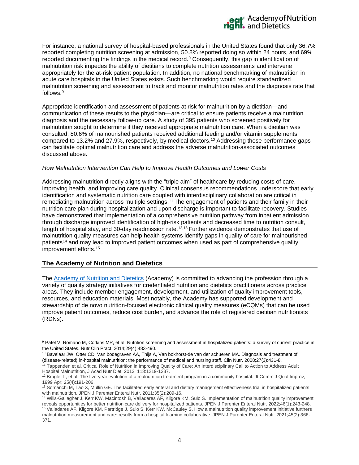<span id="page-3-1"></span>

For instance, a national survey of hospital-based professionals in the United States found that only 36.7% reported completing nutrition screening at admission, 50.8% reported doing so within 24 hours, and 69% reported documenting the findings in the medical record.<sup>9</sup> Consequently, this gap in identification of malnutrition risk impedes the ability of dietitians to complete nutrition assessments and intervene appropriately for the at-risk patient population. In addition, no national benchmarking of malnutrition in acute care hospitals in the United States exists. Such benchmarking would require standardized malnutrition screening and assessment to track and monitor malnutrition rates and the diagnosis rate that follows. [9](#page-3-1)

Appropriate identification and assessment of patients at risk for malnutrition by a dietitian—and communication of these results to the physician—are critical to ensure patients receive a malnutrition diagnosis and the necessary follow-up care. A study of 395 patients who screened positively for malnutrition sought to determine if they received appropriate malnutrition care. When a dietitian was consulted, 80.6% of malnourished patients received additional feeding and/or vitamin supplements compared to 13.2% and 27.9%, respectively, by medical doctors.<sup>10</sup> Addressing these performance gaps can facilitate optimal malnutrition care and address the adverse malnutrition-associated outcomes discussed above.

#### *How Malnutrition Intervention Can Help to Improve Health Outcomes and Lower Costs*

Addressing malnutrition directly aligns with the "triple aim" of healthcare by reducing costs of care, improving health, and improving care quality. Clinical consensus recommendations underscore that early identification and systematic nutrition care coupled with interdisciplinary collaboration are critical in remediating malnutrition across multiple settings.<sup>11</sup> The engagement of patients and their family in their nutrition care plan during hospitalization and upon discharge is important to facilitate recovery. Studies have demonstrated that implementation of a comprehensive nutrition pathway from inpatient admission through discharge improved identification of high-risk patients and decreased time to nutrition consult, length of hospital stay, and 30-day readmission rate.<sup>12,13</sup> Further evidence demonstrates that use of malnutrition quality measures can help health systems identify gaps in quality of care for malnourished patients<sup>14</sup> and may lead to improved patient outcomes when used as part of comprehensive quality improvement efforts.<sup>15</sup>

#### <span id="page-3-0"></span>**The Academy of Nutrition and Dietetics**

The [Academy of Nutrition and Dietetics](http://www.eatrightpro.org/resources/about-us) (Academy) is committed to advancing the profession through a variety of quality strategy initiatives for credentialed nutrition and dietetics practitioners across practice areas. They include member engagement, development, and utilization of quality improvement tools, resources, and education materials. Most notably, the Academy has supported development and stewardship of de novo nutrition-focused electronic clinical quality measures (eCQMs) that can be used improve patient outcomes, reduce cost burden, and advance the role of registered dietitian nutritionists (RDNs).

<sup>9</sup> Patel V, Romano M, Corkins MR, et al. Nutrition screening and assessment in hospitalized patients: a survey of current practice in the United States. Nutr Clin Pract. 2014;29(4):483-490.

<sup>&</sup>lt;sup>10</sup> Bavelaar JW, Otter CD, Van bodegraven AA, Thijs A, Van bokhorst-de van der schueren MA. Diagnosis and treatment of (disease-related) in-hospital malnutrition: the performance of medical and nursing staff. Clin Nutr. 2008;27(3):431-8.

<sup>11</sup> Tappenden et al. Critical Role of Nutrition in Improving Quality of Care: An Interdisciplinary Call to Action to Address Adult Hospital Malnutrition, J Acad Nutr Diet. 2013; 113:1219-1237.

 $12$  Brugler L, et al. The five-year evolution of a malnutrition treatment program in a community hospital. Jt Comm J Qual Improv, 1999 Apr; 25(4):191-206.

<sup>&</sup>lt;sup>13</sup> Somanchi M, Tao X, Mullin GE. The facilitated early enteral and dietary management effectiveness trial in hospitalized patients with malnutrition. JPEN J Parenter Enteral Nutr. 2011;35(2):209-16.

<sup>14</sup> Wills‐Gallagher J, Kerr KW, Macintosh B, Valladares AF, Kilgore KM, Sulo S. Implementation of malnutrition quality improvement reveals opportunities for better nutrition care delivery for hospitalized patients. JPEN J Parenter Enteral Nutr. 2022;46(1):243-248. <sup>15</sup> Valladares AF, Kilgore KM, Partridge J, Sulo S, Kerr KW, McCauley S. How a malnutrition quality improvement initiative furthers malnutrition measurement and care: results from a hospital learning collaborative. JPEN J Parenter Enteral Nutr. 2021;45(2):366- 371.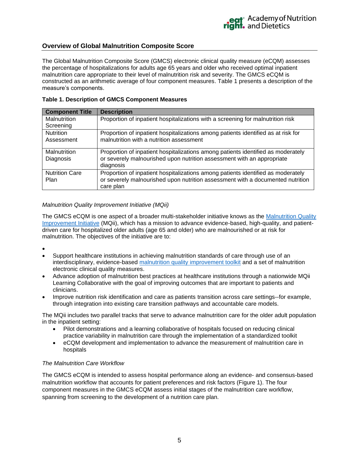#### <span id="page-4-0"></span>**Overview of Global Malnutrition Composite Score**

The Global Malnutrition Composite Score (GMCS) electronic clinical quality measure (eCQM) assesses the percentage of hospitalizations for adults age 65 years and older who received optimal inpatient malnutrition care appropriate to their level of malnutrition risk and severity. The GMCS eCQM is constructed as an arithmetic average of four component measures. Table 1 presents a description of the measure's components.

| <b>Table 1. Description of GMCS Component Measures</b> |  |  |  |
|--------------------------------------------------------|--|--|--|
|--------------------------------------------------------|--|--|--|

| <b>Component Title</b>        | <b>Description</b>                                                                                                                                                              |
|-------------------------------|---------------------------------------------------------------------------------------------------------------------------------------------------------------------------------|
| Malnutrition                  | Proportion of inpatient hospitalizations with a screening for malnutrition risk                                                                                                 |
| Screening                     |                                                                                                                                                                                 |
| <b>Nutrition</b>              | Proportion of inpatient hospitalizations among patients identified as at risk for                                                                                               |
| Assessment                    | malnutrition with a nutrition assessment                                                                                                                                        |
| Malnutrition<br>Diagnosis     | Proportion of inpatient hospitalizations among patients identified as moderately<br>or severely malnourished upon nutrition assessment with an appropriate<br>diagnosis         |
| <b>Nutrition Care</b><br>Plan | Proportion of inpatient hospitalizations among patients identified as moderately<br>or severely malnourished upon nutrition assessment with a documented nutrition<br>care plan |

#### *Malnutrition Quality Improvement Initiative (MQii)*

The GMCS eCQM is one aspect of a broader multi-stakeholder initiative knows as the [Malnutrition Quality](https://malnutritionquality.org/)  [Improvement Initiative](https://malnutritionquality.org/) (MQii), which has a mission to advance evidence-based, high-quality, and patientdriven care for hospitalized older adults (age 65 and older) who are malnourished or at risk for malnutrition. The objectives of the initiative are to:

•

- Support healthcare institutions in achieving malnutrition standards of care through use of an interdisciplinary, evidence-based [malnutrition quality improvement toolkit](https://malnutritionquality.org/wp-content/uploads/complete-mqii-toolkit.pdf) and a set of malnutrition electronic clinical quality measures.
- Advance adoption of malnutrition best practices at healthcare institutions through a nationwide MQii Learning Collaborative with the goal of improving outcomes that are important to patients and clinicians.
- Improve nutrition risk identification and care as patients transition across care settings--for example, through integration into existing care transition pathways and accountable care models.

The MQii includes two parallel tracks that serve to advance malnutrition care for the older adult population in the inpatient setting:

- Pilot demonstrations and a learning collaborative of hospitals focused on reducing clinical practice variability in malnutrition care through the implementation of a standardized toolkit
- eCQM development and implementation to advance the measurement of malnutrition care in hospitals

#### *The Malnutrition Care Workflow*

The GMCS eCQM is intended to assess hospital performance along an evidence- and consensus-based malnutrition workflow that accounts for patient preferences and risk factors (Figure 1). The four component measures in the GMCS eCQM assess initial stages of the malnutrition care workflow, spanning from screening to the development of a nutrition care plan.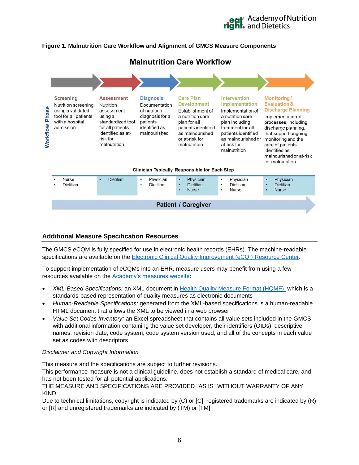## eat Academy of Nutrition<br>**right.** and Dietetics

#### **Figure 1. Malnutrition Care Workflow and Alignment of GMCS Measure Components**



#### <span id="page-5-0"></span>**Additional Measure Specification Resources**

The GMCS eCQM is fully specified for use in electronic health records (EHRs). The machine-readable specifications are available on the [Electronic Clinical Quality Improvement \(eCQI\) Resource Center.](https://ecqi.healthit.gov/pre-rulemaking-eh-cah-ecqms)

To support implementation of eCQMs into an EHR, measure users may benefit from using a few resources available on the [Academy's measures website:](http://www.eatrightpro.org/resource/practice/quality-management/quality-improvement/malnutrition-quality-improvement-initiative)

- *XML-Based Specifications:* an XML document in [Health Quality Measure Format \(HQMF\),](https://ecqi.healthit.gov/hqmf) which is a standards-based representation of quality measures as electronic documents
- *Human-Readable Specifications:* generated from the XML-based specifications is a human-readable HTML document that allows the XML to be viewed in a web browser
- *Value Set Codes Inventory:* an Excel spreadsheet that contains all value sets included in the GMCS, with additional information containing the value set developer, their identifiers (OIDs), descriptive names, revision date, code system, code system version used, and all of the concepts in each value set as codes with descriptors

#### *Disclaimer and Copyright Information*

This measure and the specifications are subject to further revisions.

This performance measure is not a clinical guideline, does not establish a standard of medical care, and has not been tested for all potential applications.

THE MEASURE AND SPECIFICATIONS ARE PROVIDED "AS IS" WITHOUT WARRANTY OF ANY KIND.

Due to technical limitations, copyright is indicated by (C) or [C], registered trademarks are indicated by (R) or [R] and unregistered trademarks are indicated by (TM) or [TM].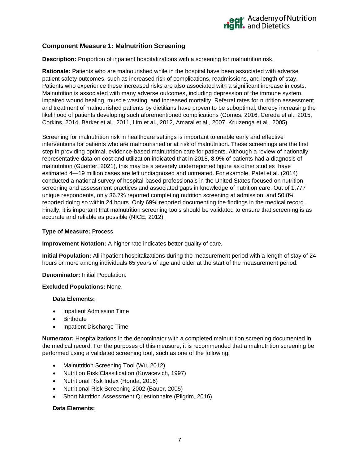#### <span id="page-6-0"></span>**Component Measure 1: Malnutrition Screening**

**Description:** Proportion of inpatient hospitalizations with a screening for malnutrition risk.

**Rationale:** Patients who are malnourished while in the hospital have been associated with adverse patient safety outcomes, such as increased risk of complications, readmissions, and length of stay. Patients who experience these increased risks are also associated with a significant increase in costs. Malnutrition is associated with many adverse outcomes, including depression of the immune system, impaired wound healing, muscle wasting, and increased mortality. Referral rates for nutrition assessment and treatment of malnourished patients by dietitians have proven to be suboptimal, thereby increasing the likelihood of patients developing such aforementioned complications (Gomes, 2016, Cereda et al., 2015, Corkins, 2014, Barker et al., 2011, Lim et al., 2012, Amaral et al., 2007, Kruizenga et al., 2005).

Screening for malnutrition risk in healthcare settings is important to enable early and effective interventions for patients who are malnourished or at risk of malnutrition. These screenings are the first step in providing optimal, evidence-based malnutrition care for patients. Although a review of nationally representative data on cost and utilization indicated that in 2018, 8.9% of patients had a diagnosis of malnutrition (Guenter, 2021), this may be a severely underreported figure as other studies have estimated 4—19 million cases are left undiagnosed and untreated. For example, Patel et al. (2014) conducted a national survey of hospital-based professionals in the United States focused on nutrition screening and assessment practices and associated gaps in knowledge of nutrition care. Out of 1,777 unique respondents, only 36.7% reported completing nutrition screening at admission, and 50.8% reported doing so within 24 hours. Only 69% reported documenting the findings in the medical record. Finally, it is important that malnutrition screening tools should be validated to ensure that screening is as accurate and reliable as possible (NICE, 2012).

#### **Type of Measure:** Process

**Improvement Notation:** A higher rate indicates better quality of care.

**Initial Population:** All inpatient hospitalizations during the measurement period with a length of stay of 24 hours or more among individuals 65 years of age and older at the start of the measurement period.

#### **Denominator:** Initial Population.

#### **Excluded Populations:** None.

#### **Data Elements:**

- Inpatient Admission Time
- **Birthdate**
- Inpatient Discharge Time

**Numerator:** Hospitalizations in the denominator with a completed malnutrition screening documented in the medical record. For the purposes of this measure, it is recommended that a malnutrition screening be performed using a validated screening tool, such as one of the following:

- Malnutrition Screening Tool (Wu, 2012)
- Nutrition Risk Classification (Kovacevich, 1997)
- Nutritional Risk Index (Honda, 2016)
- Nutritional Risk Screening 2002 (Bauer, 2005)
- Short Nutrition Assessment Questionnaire (Pilgrim, 2016)

#### **Data Elements:**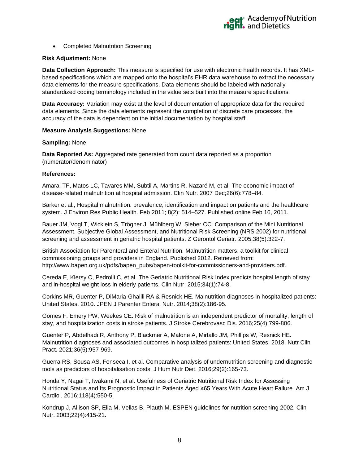• Completed Malnutrition Screening

#### **Risk Adjustment:** None

**Data Collection Approach:** This measure is specified for use with electronic health records. It has XMLbased specifications which are mapped onto the hospital's EHR data warehouse to extract the necessary data elements for the measure specifications. Data elements should be labeled with nationally standardized coding terminology included in the value sets built into the measure specifications.

**Data Accuracy:** Variation may exist at the level of documentation of appropriate data for the required data elements. Since the data elements represent the completion of discrete care processes, the accuracy of the data is dependent on the initial documentation by hospital staff.

#### **Measure Analysis Suggestions:** None

#### **Sampling:** None

**Data Reported As:** Aggregated rate generated from count data reported as a proportion (numerator/denominator)

#### **References:**

Amaral TF, Matos LC, Tavares MM, Subtil A, Martins R, Nazaré M, et al. The economic impact of disease-related malnutrition at hospital admission. Clin Nutr. 2007 Dec;26(6):778–84.

Barker et al., Hospital malnutrition: prevalence, identification and impact on patients and the healthcare system. J Environ Res Public Health. Feb 2011; 8(2): 514–527. Published online Feb 16, 2011.

Bauer JM, Vogl T, Wicklein S, Trögner J, Mühlberg W, Sieber CC. Comparison of the Mini Nutritional Assessment, Subjective Global Assessment, and Nutritional Risk Screening (NRS 2002) for nutritional screening and assessment in geriatric hospital patients. Z Gerontol Geriatr. 2005;38(5):322-7.

British Association for Parenteral and Enteral Nutrition. Malnutrition matters, a toolkit for clinical commissioning groups and providers in England. Published 2012. Retrieved from: [http://www.bapen.org.uk/pdfs/bapen\\_pubs/bapen-toolkit-for-commissioners-and-providers.pdf.](http://www.bapen.org.uk/pdfs/bapen_pubs/bapen-toolkit-for-commissioners-and-providers.pdf)

Cereda E, Klersy C, Pedrolli C, et al. The Geriatric Nutritional Risk Index predicts hospital length of stay and in-hospital weight loss in elderly patients. Clin Nutr. 2015;34(1):74-8.

Corkins MR, Guenter P, DiMaria-Ghalili RA & Resnick HE. Malnutrition diagnoses in hospitalized patients: United States, 2010. JPEN J Parenter Enteral Nutr. 2014;38(2):186-95.

Gomes F, Emery PW, Weekes CE. Risk of malnutrition is an independent predictor of mortality, length of stay, and hospitalization costs in stroke patients. J Stroke Cerebrovasc Dis. 2016;25(4):799-806.

Guenter P, Abdelhadi R, Anthony P, Blackmer A, Malone A, Mirtallo JM, Phillips W, Resnick HE. Malnutrition diagnoses and associated outcomes in hospitalized patients: United States, 2018. Nutr Clin Pract. 2021;36(5):957-969.

Guerra RS, Sousa AS, Fonseca I, et al. Comparative analysis of undernutrition screening and diagnostic tools as predictors of hospitalisation costs. J Hum Nutr Diet. 2016;29(2):165-73.

Honda Y, Nagai T, Iwakami N, et al. Usefulness of Geriatric Nutritional Risk Index for Assessing Nutritional Status and Its Prognostic Impact in Patients Aged ≥65 Years With Acute Heart Failure. Am J Cardiol. 2016;118(4):550-5.

Kondrup J, Allison SP, Elia M, Vellas B, Plauth M. ESPEN guidelines for nutrition screening 2002. Clin Nutr. 2003;22(4):415-21.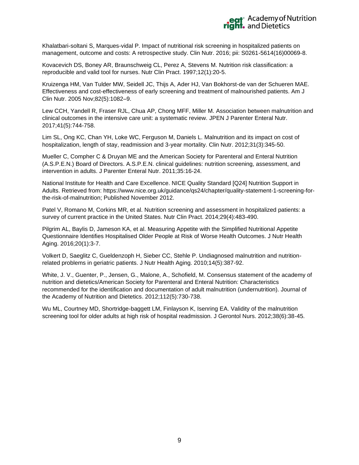

Khalatbari-soltani S, Marques-vidal P. Impact of nutritional risk screening in hospitalized patients on management, outcome and costs: A retrospective study. Clin Nutr. 2016; pii: S0261-5614(16)00069-8.

Kovacevich DS, Boney AR, Braunschweig CL, Perez A, Stevens M. Nutrition risk classification: a reproducible and valid tool for nurses. Nutr Clin Pract. 1997;12(1):20-5.

Kruizenga HM, Van Tulder MW, Seidell JC, Thijs A, Ader HJ, Van Bokhorst-de van der Schueren MAE. Effectiveness and cost-effectiveness of early screening and treatment of malnourished patients. Am J Clin Nutr. 2005 Nov;82(5):1082–9.

Lew CCH, Yandell R, Fraser RJL, Chua AP, Chong MFF, Miller M. Association between malnutrition and clinical outcomes in the intensive care unit: a systematic review. JPEN J Parenter Enteral Nutr. 2017;41(5):744-758.

Lim SL, Ong KC, Chan YH, Loke WC, Ferguson M, Daniels L. Malnutrition and its impact on cost of hospitalization, length of stay, readmission and 3-year mortality. Clin Nutr. 2012;31(3):345-50.

Mueller C, Compher C & Druyan ME and the American Society for Parenteral and Enteral Nutrition (A.S.P.E.N.) Board of Directors. A.S.P.E.N. clinical guidelines: nutrition screening, assessment, and intervention in adults. J Parenter Enteral Nutr. 2011;35:16-24.

National Institute for Health and Care Excellence. NICE Quality Standard [Q24] Nutrition Support in Adults. Retrieved from: https://www.nice.org.uk/guidance/qs24/chapter/quality-statement-1-screening-forthe-risk-of-malnutrition; Published November 2012.

Patel V, Romano M, Corkins MR, et al. Nutrition screening and assessment in hospitalized patients: a survey of current practice in the United States. Nutr Clin Pract. 2014;29(4):483-490.

Pilgrim AL, Baylis D, Jameson KA, et al. Measuring Appetite with the Simplified Nutritional Appetite Questionnaire Identifies Hospitalised Older People at Risk of Worse Health Outcomes. J Nutr Health Aging. 2016;20(1):3-7.

Volkert D, Saeglitz C, Gueldenzoph H, Sieber CC, Stehle P. Undiagnosed malnutrition and nutritionrelated problems in geriatric patients. J Nutr Health Aging. 2010;14(5):387-92.

White, J. V., Guenter, P., Jensen, G., Malone, A., Schofield, M. Consensus statement of the academy of nutrition and dietetics/American Society for Parenteral and Enteral Nutrition: Characteristics recommended for the identification and documentation of adult malnutrition (undernutrition). Journal of the Academy of Nutrition and Dietetics. 2012;112(5):730-738.

Wu ML, Courtney MD, Shortridge-baggett LM, Finlayson K, Isenring EA. Validity of the malnutrition screening tool for older adults at high risk of hospital readmission. J Gerontol Nurs. 2012;38(6):38-45.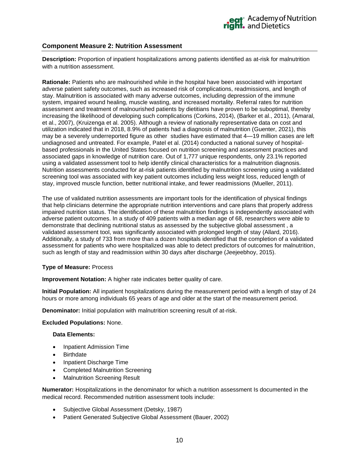#### <span id="page-9-0"></span>**Component Measure 2: Nutrition Assessment**

**Description:** Proportion of inpatient hospitalizations among patients identified as at-risk for malnutrition with a nutrition assessment.

**Rationale:** Patients who are malnourished while in the hospital have been associated with important adverse patient safety outcomes, such as increased risk of complications, readmissions, and length of stay. Malnutrition is associated with many adverse outcomes, including depression of the immune system, impaired wound healing, muscle wasting, and increased mortality. Referral rates for nutrition assessment and treatment of malnourished patients by dietitians have proven to be suboptimal, thereby increasing the likelihood of developing such complications (Corkins, 2014), (Barker et al., 2011), (Amaral, et al., 2007), (Kruizenga et al. 2005). Although a review of nationally representative data on cost and utilization indicated that in 2018, 8.9% of patients had a diagnosis of malnutrition (Guenter, 2021), this may be a severely underreported figure as other studies have estimated that 4—19 million cases are left undiagnosed and untreated. For example, Patel et al. (2014) conducted a national survey of hospitalbased professionals in the United States focused on nutrition screening and assessment practices and associated gaps in knowledge of nutrition care. Out of 1,777 unique respondents, only 23.1% reported using a validated assessment tool to help identify clinical characteristics for a malnutrition diagnosis. Nutrition assessments conducted for at-risk patients identified by malnutrition screening using a validated screening tool was associated with key patient outcomes including less weight loss, reduced length of stay, improved muscle function, better nutritional intake, and fewer readmissions (Mueller, 2011).

The use of validated nutrition assessments are important tools for the identification of physical findings that help clinicians determine the appropriate nutrition interventions and care plans that properly address impaired nutrition status. The identification of these malnutrition findings is independently associated with adverse patient outcomes. In a study of 409 patients with a median age of 68, researchers were able to demonstrate that declining nutritional status as assessed by the subjective global assessment , a validated assessment tool, was significantly associated with prolonged length of stay (Allard, 2016). Additionally, a study of 733 from more than a dozen hospitals identified that the completion of a validated assessment for patients who were hospitalized was able to detect predictors of outcomes for malnutrition, such as length of stay and readmission within 30 days after discharge (Jeejeebhoy, 2015).

#### **Type of Measure:** Process

**Improvement Notation:** A higher rate indicates better quality of care.

**Initial Population:** All inpatient hospitalizations during the measurement period with a length of stay of 24 hours or more among individuals 65 years of age and older at the start of the measurement period.

**Denominator:** Initial population with malnutrition screening result of at-risk.

#### **Excluded Populations:** None.

#### **Data Elements:**

- Inpatient Admission Time
- **Birthdate**
- Inpatient Discharge Time
- Completed Malnutrition Screening
- **Malnutrition Screening Result**

**Numerator:** Hospitalizations in the denominator for which a nutrition assessment Is documented in the medical record. Recommended nutrition assessment tools include:

- Subjective Global Assessment (Detsky, 1987)
- Patient Generated Subjective Global Assessment (Bauer, 2002)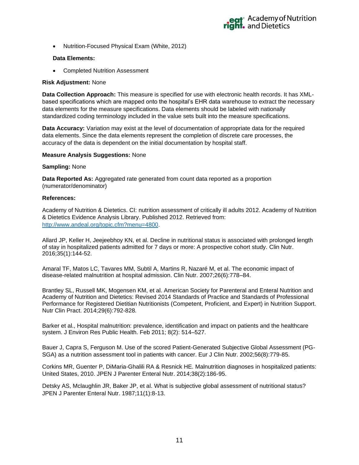

• Nutrition-Focused Physical Exam (White, 2012)

#### **Data Elements:**

• Completed Nutrition Assessment

#### **Risk Adjustment:** None

**Data Collection Approach:** This measure is specified for use with electronic health records. It has XMLbased specifications which are mapped onto the hospital's EHR data warehouse to extract the necessary data elements for the measure specifications. Data elements should be labeled with nationally standardized coding terminology included in the value sets built into the measure specifications.

**Data Accuracy:** Variation may exist at the level of documentation of appropriate data for the required data elements. Since the data elements represent the completion of discrete care processes, the accuracy of the data is dependent on the initial documentation by hospital staff.

#### **Measure Analysis Suggestions:** None

#### **Sampling:** None

**Data Reported As:** Aggregated rate generated from count data reported as a proportion (numerator/denominator)

#### **References:**

Academy of Nutrition & Dietetics. CI: nutrition assessment of critically ill adults 2012. Academy of Nutrition & Dietetics Evidence Analysis Library. Published 2012. Retrieved from: [http://www.andeal.org/topic.cfm?menu=4800.](http://www.andeal.org/topic.cfm?menu=4800)

Allard JP, Keller H, Jeejeebhoy KN, et al. Decline in nutritional status is associated with prolonged length of stay in hospitalized patients admitted for 7 days or more: A prospective cohort study. Clin Nutr. 2016;35(1):144-52.

Amaral TF, Matos LC, Tavares MM, Subtil A, Martins R, Nazaré M, et al. The economic impact of disease-related malnutrition at hospital admission. Clin Nutr. 2007;26(6):778–84.

Brantley SL, Russell MK, Mogensen KM, et al. American Society for Parenteral and Enteral Nutrition and Academy of Nutrition and Dietetics: Revised 2014 Standards of Practice and Standards of Professional Performance for Registered Dietitian Nutritionists (Competent, Proficient, and Expert) in Nutrition Support. Nutr Clin Pract. 2014;29(6):792-828.

Barker et al., Hospital malnutrition: prevalence, identification and impact on patients and the healthcare system. J Environ Res Public Health. Feb 2011; 8(2): 514–527.

Bauer J, Capra S, Ferguson M. Use of the scored Patient-Generated Subjective Global Assessment (PG-SGA) as a nutrition assessment tool in patients with cancer. Eur J Clin Nutr. 2002;56(8):779-85.

Corkins MR, Guenter P, DiMaria-Ghalili RA & Resnick HE. Malnutrition diagnoses in hospitalized patients: United States, 2010. JPEN J Parenter Enteral Nutr. 2014;38(2):186-95.

Detsky AS, Mclaughlin JR, Baker JP, et al. What is subjective global assessment of nutritional status? JPEN J Parenter Enteral Nutr. 1987;11(1):8-13.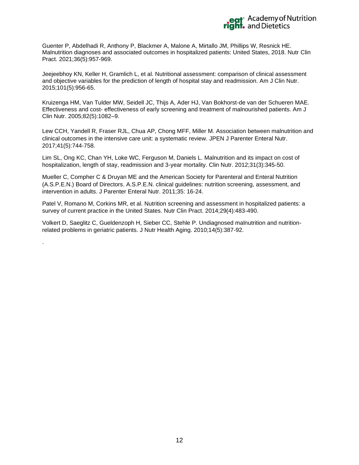

Guenter P, Abdelhadi R, Anthony P, Blackmer A, Malone A, Mirtallo JM, Phillips W, Resnick HE. Malnutrition diagnoses and associated outcomes in hospitalized patients: United States, 2018. Nutr Clin Pract. 2021;36(5):957-969.

Jeejeebhoy KN, Keller H, Gramlich L, et al. Nutritional assessment: comparison of clinical assessment and objective variables for the prediction of length of hospital stay and readmission. Am J Clin Nutr. 2015;101(5):956-65.

Kruizenga HM, Van Tulder MW, Seidell JC, Thijs A, Ader HJ, Van Bokhorst-de van der Schueren MAE. Effectiveness and cost- effectiveness of early screening and treatment of malnourished patients. Am J Clin Nutr. 2005;82(5):1082–9.

Lew CCH, Yandell R, Fraser RJL, Chua AP, Chong MFF, Miller M. Association between malnutrition and clinical outcomes in the intensive care unit: a systematic review. JPEN J Parenter Enteral Nutr. 2017;41(5):744-758.

Lim SL, Ong KC, Chan YH, Loke WC, Ferguson M, Daniels L. Malnutrition and its impact on cost of hospitalization, length of stay, readmission and 3-year mortality. Clin Nutr. 2012;31(3):345-50.

Mueller C, Compher C & Druyan ME and the American Society for Parenteral and Enteral Nutrition (A.S.P.E.N.) Board of Directors. A.S.P.E.N. clinical guidelines: nutrition screening, assessment, and intervention in adults. J Parenter Enteral Nutr. 2011;35: 16-24.

Patel V, Romano M, Corkins MR, et al. Nutrition screening and assessment in hospitalized patients: a survey of current practice in the United States. Nutr Clin Pract. 2014;29(4):483-490.

Volkert D, Saeglitz C, Gueldenzoph H, Sieber CC, Stehle P. Undiagnosed malnutrition and nutritionrelated problems in geriatric patients. J Nutr Health Aging. 2010;14(5):387-92.

.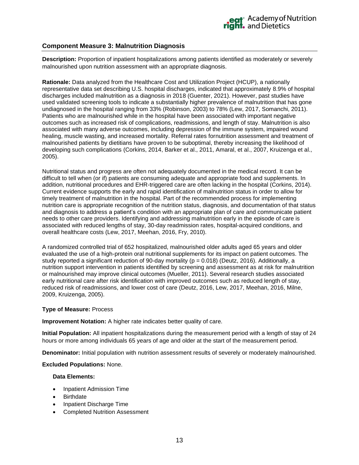#### <span id="page-12-0"></span>**Component Measure 3: Malnutrition Diagnosis**

**Description:** Proportion of inpatient hospitalizations among patients identified as moderately or severely malnourished upon nutrition assessment with an appropriate diagnosis.

**Rationale:** Data analyzed from the Healthcare Cost and Utilization Project (HCUP), a nationally representative data set describing U.S. hospital discharges, indicated that approximately 8.9% of hospital discharges included malnutrition as a diagnosis in 2018 (Guenter, 2021). However, past studies have used validated screening tools to indicate a substantially higher prevalence of malnutrition that has gone undiagnosed in the hospital ranging from 33% (Robinson, 2003) to 78% (Lew, 2017, Somanchi, 2011). Patients who are malnourished while in the hospital have been associated with important negative outcomes such as increased risk of complications, readmissions, and length of stay. Malnutrition is also associated with many adverse outcomes, including depression of the immune system, impaired wound healing, muscle wasting, and increased mortality. Referral rates fornutrition assessment and treatment of malnourished patients by dietitians have proven to be suboptimal, thereby increasing the likelihood of developing such complications (Corkins, 2014, Barker et al., 2011, Amaral, et al., 2007, Kruizenga et al., 2005).

Nutritional status and progress are often not adequately documented in the medical record. It can be difficult to tell when (or if) patients are consuming adequate and appropriate food and supplements. In addition, nutritional procedures and EHR-triggered care are often lacking in the hospital (Corkins, 2014). Current evidence supports the early and rapid identification of malnutrition status in order to allow for timely treatment of malnutrition in the hospital. Part of the recommended process for implementing nutrition care is appropriate recognition of the nutrition status, diagnosis, and documentation of that status and diagnosis to address a patient's condition with an appropriate plan of care and communicate patient needs to other care providers. Identifying and addressing malnutrition early in the episode of care is associated with reduced lengths of stay, 30-day readmission rates, hospital-acquired conditions, and overall healthcare costs (Lew, 2017, Meehan, 2016, Fry, 2010).

A randomized controlled trial of 652 hospitalized, malnourished older adults aged 65 years and older evaluated the use of a high-protein oral nutritional supplements for its impact on patient outcomes. The study reported a significant reduction of 90-day mortality ( $p = 0.018$ ) (Deutz, 2016). Additionally, a nutrition support intervention in patients identified by screening and assessment as at risk for malnutrition or malnourished may improve clinical outcomes (Mueller, 2011). Several research studies associated early nutritional care after risk identification with improved outcomes such as reduced length of stay, reduced risk of readmissions, and lower cost of care (Deutz, 2016, Lew, 2017, Meehan, 2016, Milne, 2009, Kruizenga, 2005).

#### **Type of Measure:** Process

**Improvement Notation:** A higher rate indicates better quality of care.

**Initial Population:** All inpatient hospitalizations during the measurement period with a length of stay of 24 hours or more among individuals 65 years of age and older at the start of the measurement period.

**Denominator:** Initial population with nutrition assessment results of severely or moderately malnourished.

#### **Excluded Populations:** None.

#### **Data Elements:**

- Inpatient Admission Time
- **Birthdate**
- Inpatient Discharge Time
- Completed Nutrition Assessment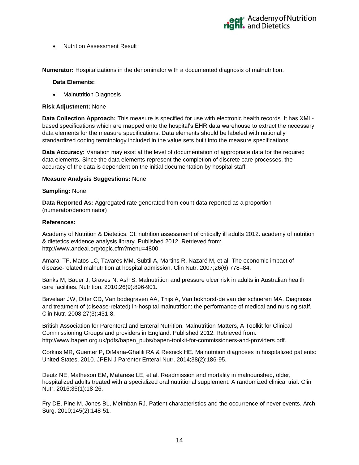

• Nutrition Assessment Result

**Numerator:** Hospitalizations in the denominator with a documented diagnosis of malnutrition.

#### **Data Elements:**

**Malnutrition Diagnosis** 

#### **Risk Adjustment:** None

**Data Collection Approach:** This measure is specified for use with electronic health records. It has XMLbased specifications which are mapped onto the hospital's EHR data warehouse to extract the necessary data elements for the measure specifications. Data elements should be labeled with nationally standardized coding terminology included in the value sets built into the measure specifications.

**Data Accuracy:** Variation may exist at the level of documentation of appropriate data for the required data elements. Since the data elements represent the completion of discrete care processes, the accuracy of the data is dependent on the initial documentation by hospital staff.

#### **Measure Analysis Suggestions:** None

#### **Sampling:** None

**Data Reported As:** Aggregated rate generated from count data reported as a proportion (numerator/denominator)

#### **References:**

Academy of Nutrition & Dietetics. CI: nutrition assessment of critically ill adults 2012. academy of nutrition & dietetics evidence analysis library. Published 2012. Retrieved from: http://www.andeal.org/topic.cfm?menu=4800.

Amaral TF, Matos LC, Tavares MM, Subtil A, Martins R, Nazaré M, et al. The economic impact of disease-related malnutrition at hospital admission. Clin Nutr. 2007;26(6):778–84.

Banks M, Bauer J, Graves N, Ash S. Malnutrition and pressure ulcer risk in adults in Australian health care facilities. Nutrition. 2010;26(9):896-901.

Bavelaar JW, Otter CD, Van bodegraven AA, Thijs A, Van bokhorst-de van der schueren MA. Diagnosis and treatment of (disease-related) in-hospital malnutrition: the performance of medical and nursing staff. Clin Nutr. 2008;27(3):431-8.

British Association for Parenteral and Enteral Nutrition. Malnutrition Matters, A Toolkit for Clinical Commissioning Groups and providers in England. Published 2012. Retrieved from: http://www.bapen.org.uk/pdfs/bapen\_pubs/bapen-toolkit-for-commissioners-and-providers.pdf.

Corkins MR, Guenter P, DiMaria-Ghalili RA & Resnick HE. Malnutrition diagnoses in hospitalized patients: United States, 2010. JPEN J Parenter Enteral Nutr. 2014;38(2):186-95.

Deutz NE, Matheson EM, Matarese LE, et al. Readmission and mortality in malnourished, older, hospitalized adults treated with a specialized oral nutritional supplement: A randomized clinical trial. Clin Nutr. 2016;35(1):18-26.

Fry DE, Pine M, Jones BL, Meimban RJ. Patient characteristics and the occurrence of never events. Arch Surg. 2010;145(2):148-51.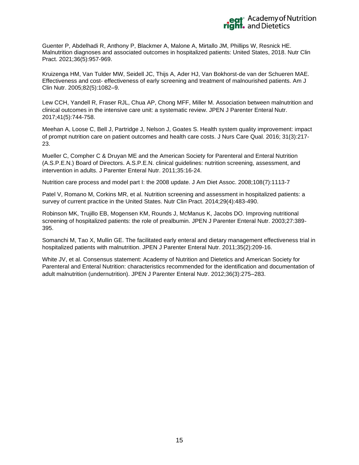

Guenter P, Abdelhadi R, Anthony P, Blackmer A, Malone A, Mirtallo JM, Phillips W, Resnick HE. Malnutrition diagnoses and associated outcomes in hospitalized patients: United States, 2018. Nutr Clin Pract. 2021;36(5):957-969.

Kruizenga HM, Van Tulder MW, Seidell JC, Thijs A, Ader HJ, Van Bokhorst-de van der Schueren MAE. Effectiveness and cost- effectiveness of early screening and treatment of malnourished patients. Am J Clin Nutr. 2005;82(5):1082–9.

Lew CCH, Yandell R, Fraser RJL, Chua AP, Chong MFF, Miller M. Association between malnutrition and clinical outcomes in the intensive care unit: a systematic review. JPEN J Parenter Enteral Nutr. 2017;41(5):744-758.

Meehan A, Loose C, Bell J, Partridge J, Nelson J, Goates S. Health system quality improvement: impact of prompt nutrition care on patient outcomes and health care costs. J Nurs Care Qual. 2016; 31(3):217- 23.

Mueller C, Compher C & Druyan ME and the American Society for Parenteral and Enteral Nutrition (A.S.P.E.N.) Board of Directors. A.S.P.E.N. clinical guidelines: nutrition screening, assessment, and intervention in adults. J Parenter Enteral Nutr. 2011;35:16-24.

Nutrition care process and model part I: the 2008 update. J Am Diet Assoc. 2008;108(7):1113-7

Patel V, Romano M, Corkins MR, et al. Nutrition screening and assessment in hospitalized patients: a survey of current practice in the United States. Nutr Clin Pract. 2014;29(4):483-490.

Robinson MK, Trujillo EB, Mogensen KM, Rounds J, McManus K, Jacobs DO. Improving nutritional screening of hospitalized patients: the role of prealbumin. JPEN J Parenter Enteral Nutr. 2003;27:389- 395.

Somanchi M, Tao X, Mullin GE. The facilitated early enteral and dietary management effectiveness trial in hospitalized patients with malnutrition. JPEN J Parenter Enteral Nutr. 2011;35(2):209-16.

White JV, et al. Consensus statement: Academy of Nutrition and Dietetics and American Society for Parenteral and Enteral Nutrition: characteristics recommended for the identification and documentation of adult malnutrition (undernutrition). JPEN J Parenter Enteral Nutr. 2012;36(3):275–283.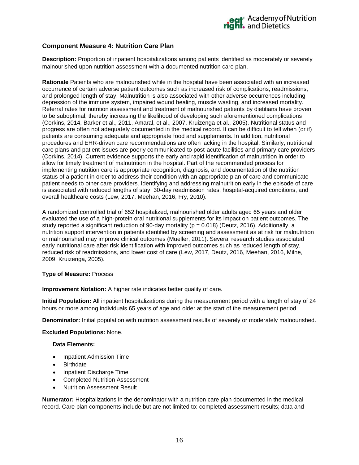#### <span id="page-15-0"></span>**Component Measure 4: Nutrition Care Plan**

**Description:** Proportion of inpatient hospitalizations among patients identified as moderately or severely malnourished upon nutrition assessment with a documented nutrition care plan.

**Rationale** Patients who are malnourished while in the hospital have been associated with an increased occurrence of certain adverse patient outcomes such as increased risk of complications, readmissions, and prolonged length of stay. Malnutrition is also associated with other adverse occurrences including depression of the immune system, impaired wound healing, muscle wasting, and increased mortality. Referral rates for nutrition assessment and treatment of malnourished patients by dietitians have proven to be suboptimal, thereby increasing the likelihood of developing such aforementioned complications (Corkins, 2014, Barker et al., 2011, Amaral, et al., 2007, Kruizenga et al., 2005). Nutritional status and progress are often not adequately documented in the medical record. It can be difficult to tell when (or if) patients are consuming adequate and appropriate food and supplements. In addition, nutritional procedures and EHR-driven care recommendations are often lacking in the hospital. Similarly, nutritional care plans and patient issues are poorly communicated to post-acute facilities and primary care providers (Corkins, 2014). Current evidence supports the early and rapid identification of malnutrition in order to allow for timely treatment of malnutrition in the hospital. Part of the recommended process for implementing nutrition care is appropriate recognition, diagnosis, and documentation of the nutrition status of a patient in order to address their condition with an appropriate plan of care and communicate patient needs to other care providers. Identifying and addressing malnutrition early in the episode of care is associated with reduced lengths of stay, 30-day readmission rates, hospital-acquired conditions, and overall healthcare costs (Lew, 2017, Meehan, 2016, Fry, 2010).

A randomized controlled trial of 652 hospitalized, malnourished older adults aged 65 years and older evaluated the use of a high-protein oral nutritional supplements for its impact on patient outcomes. The study reported a significant reduction of 90-day mortality ( $p = 0.018$ ) (Deutz, 2016). Additionally, a nutrition support intervention in patients identified by screening and assessment as at risk for malnutrition or malnourished may improve clinical outcomes (Mueller, 2011). Several research studies associated early nutritional care after risk identification with improved outcomes such as reduced length of stay, reduced risk of readmissions, and lower cost of care (Lew, 2017, Deutz, 2016, Meehan, 2016, Milne, 2009, Kruizenga, 2005).

#### **Type of Measure:** Process

**Improvement Notation:** A higher rate indicates better quality of care.

**Initial Population:** All inpatient hospitalizations during the measurement period with a length of stay of 24 hours or more among individuals 65 years of age and older at the start of the measurement period.

**Denominator:** Initial population with nutrition assessment results of severely or moderately malnourished.

**Excluded Populations:** None.

#### **Data Elements:**

- Inpatient Admission Time
- Birthdate
- Inpatient Discharge Time
- Completed Nutrition Assessment
- Nutrition Assessment Result

**Numerator:** Hospitalizations in the denominator with a nutrition care plan documented in the medical record. Care plan components include but are not limited to: completed assessment results; data and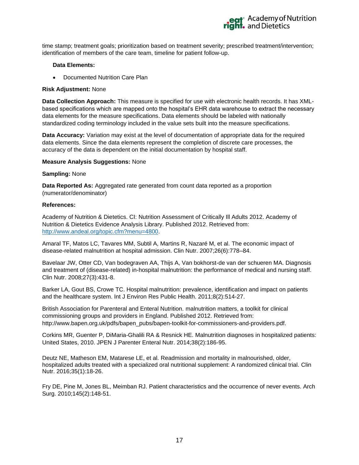

time stamp; treatment goals; prioritization based on treatment severity; prescribed treatment/intervention; identification of members of the care team, timeline for patient follow-up.

#### **Data Elements:**

• Documented Nutrition Care Plan

#### **Risk Adjustment:** None

**Data Collection Approach:** This measure is specified for use with electronic health records. It has XMLbased specifications which are mapped onto the hospital's EHR data warehouse to extract the necessary data elements for the measure specifications. Data elements should be labeled with nationally standardized coding terminology included in the value sets built into the measure specifications.

**Data Accuracy:** Variation may exist at the level of documentation of appropriate data for the required data elements. Since the data elements represent the completion of discrete care processes, the accuracy of the data is dependent on the initial documentation by hospital staff.

#### **Measure Analysis Suggestions:** None

#### **Sampling:** None

**Data Reported As:** Aggregated rate generated from count data reported as a proportion (numerator/denominator)

#### **References:**

Academy of Nutrition & Dietetics. CI: Nutrition Assessment of Critically Ill Adults 2012. Academy of Nutrition & Dietetics Evidence Analysis Library. Published 2012. Retrieved from: [http://www.andeal.org/topic.cfm?menu=4800.](http://www.andeal.org/topic.cfm?menu=4800)

Amaral TF, Matos LC, Tavares MM, Subtil A, Martins R, Nazaré M, et al. The economic impact of disease-related malnutrition at hospital admission. Clin Nutr. 2007;26(6):778–84.

Bavelaar JW, Otter CD, Van bodegraven AA, Thijs A, Van bokhorst-de van der schueren MA. Diagnosis and treatment of (disease-related) in-hospital malnutrition: the performance of medical and nursing staff. Clin Nutr. 2008;27(3):431-8.

Barker LA, Gout BS, Crowe TC. Hospital malnutrition: prevalence, identification and impact on patients and the healthcare system. Int J Environ Res Public Health. 2011;8(2):514-27.

British Association for Parenteral and Enteral Nutrition. malnutrition matters, a toolkit for clinical commissioning groups and providers in England. Published 2012. Retrieved from: http://www.bapen.org.uk/pdfs/bapen\_pubs/bapen-toolkit-for-commissioners-and-providers.pdf.

Corkins MR, Guenter P, DiMaria-Ghalili RA & Resnick HE. Malnutrition diagnoses in hospitalized patients: United States, 2010. JPEN J Parenter Enteral Nutr. 2014;38(2):186-95.

Deutz NE, Matheson EM, Matarese LE, et al. Readmission and mortality in malnourished, older, hospitalized adults treated with a specialized oral nutritional supplement: A randomized clinical trial. Clin Nutr. 2016;35(1):18-26.

Fry DE, Pine M, Jones BL, Meimban RJ. Patient characteristics and the occurrence of never events. Arch Surg. 2010;145(2):148-51.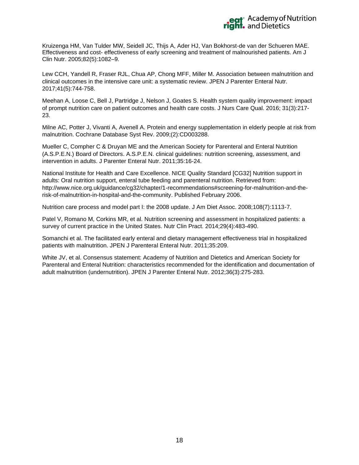

Kruizenga HM, Van Tulder MW, Seidell JC, Thijs A, Ader HJ, Van Bokhorst-de van der Schueren MAE. Effectiveness and cost- effectiveness of early screening and treatment of malnourished patients. Am J Clin Nutr. 2005;82(5):1082–9.

Lew CCH, Yandell R, Fraser RJL, Chua AP, Chong MFF, Miller M. Association between malnutrition and clinical outcomes in the intensive care unit: a systematic review. JPEN J Parenter Enteral Nutr. 2017;41(5):744-758.

Meehan A, Loose C, Bell J, Partridge J, Nelson J, Goates S. Health system quality improvement: impact of prompt nutrition care on patient outcomes and health care costs. J Nurs Care Qual. 2016; 31(3):217- 23.

Milne AC, Potter J, Vivanti A, Avenell A. Protein and energy supplementation in elderly people at risk from malnutrition. Cochrane Database Syst Rev. 2009;(2):CD003288.

Mueller C, Compher C & Druyan ME and the American Society for Parenteral and Enteral Nutrition (A.S.P.E.N.) Board of Directors. A.S.P.E.N. clinical guidelines: nutrition screening, assessment, and intervention in adults. J Parenter Enteral Nutr. 2011;35:16-24.

National Institute for Health and Care Excellence. NICE Quality Standard [CG32] Nutrition support in adults: Oral nutrition support, enteral tube feeding and parenteral nutrition. Retrieved from: http://www.nice.org.uk/guidance/cg32/chapter/1-recommendations#screening-for-malnutrition-and-therisk-of-malnutrition-in-hospital-and-the-community. Published February 2006.

Nutrition care process and model part I: the 2008 update. J Am Diet Assoc. 2008;108(7):1113-7.

Patel V, Romano M, Corkins MR, et al. Nutrition screening and assessment in hospitalized patients: a survey of current practice in the United States. Nutr Clin Pract. 2014;29(4):483-490.

Somanchi et al. The facilitated early enteral and dietary management effectiveness trial in hospitalized patients with malnutrition. JPEN J Parenteral Enteral Nutr. 2011;35:209.

White JV, et al. Consensus statement: Academy of Nutrition and Dietetics and American Society for Parenteral and Enteral Nutrition: characteristics recommended for the identification and documentation of adult malnutrition (undernutrition). JPEN J Parenter Enteral Nutr. 2012;36(3):275-283.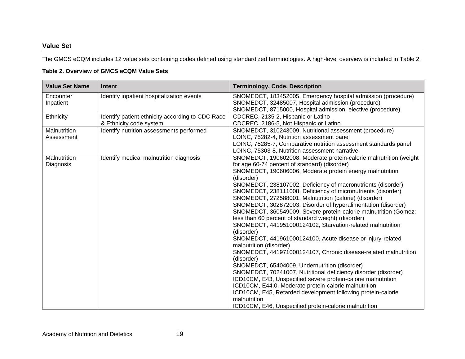#### **Value Set**

The GMCS eCQM includes 12 value sets containing codes defined using standardized terminologies. A high-level overview is included in Table 2.

#### **Table 2. Overview of GMCS eCQM Value Sets**

| <b>Value Set Name</b>             | <b>Intent</b>                                                               | <b>Terminology, Code, Description</b>                                                                                                                                                                                                                                                                                                                                                                                                                                                                                                                                                                                                                                                                                                                                                                                                                                                                                                                                                                                                                                                                                                                                                                                             |
|-----------------------------------|-----------------------------------------------------------------------------|-----------------------------------------------------------------------------------------------------------------------------------------------------------------------------------------------------------------------------------------------------------------------------------------------------------------------------------------------------------------------------------------------------------------------------------------------------------------------------------------------------------------------------------------------------------------------------------------------------------------------------------------------------------------------------------------------------------------------------------------------------------------------------------------------------------------------------------------------------------------------------------------------------------------------------------------------------------------------------------------------------------------------------------------------------------------------------------------------------------------------------------------------------------------------------------------------------------------------------------|
| Encounter<br>Inpatient            | Identify inpatient hospitalization events                                   | SNOMEDCT, 183452005, Emergency hospital admission (procedure)<br>SNOMEDCT, 32485007, Hospital admission (procedure)<br>SNOMEDCT, 8715000, Hospital admission, elective (procedure)                                                                                                                                                                                                                                                                                                                                                                                                                                                                                                                                                                                                                                                                                                                                                                                                                                                                                                                                                                                                                                                |
| Ethnicity                         | Identify patient ethnicity according to CDC Race<br>& Ethnicity code system | CDCREC, 2135-2, Hispanic or Latino<br>CDCREC, 2186-5, Not Hispanic or Latino                                                                                                                                                                                                                                                                                                                                                                                                                                                                                                                                                                                                                                                                                                                                                                                                                                                                                                                                                                                                                                                                                                                                                      |
| <b>Malnutrition</b><br>Assessment | Identify nutrition assessments performed                                    | SNOMEDCT, 310243009, Nutritional assessment (procedure)<br>LOINC, 75282-4, Nutrition assessment panel<br>LOINC, 75285-7, Comparative nutrition assessment standards panel<br>LOINC, 75303-8, Nutrition assessment narrative                                                                                                                                                                                                                                                                                                                                                                                                                                                                                                                                                                                                                                                                                                                                                                                                                                                                                                                                                                                                       |
| Malnutrition<br>Diagnosis         | Identify medical malnutrition diagnosis                                     | SNOMEDCT, 190602008, Moderate protein-calorie malnutrition (weight<br>for age 60-74 percent of standard) (disorder)<br>SNOMEDCT, 190606006, Moderate protein energy malnutrition<br>(disorder)<br>SNOMEDCT, 238107002, Deficiency of macronutrients (disorder)<br>SNOMEDCT, 238111008, Deficiency of micronutrients (disorder)<br>SNOMEDCT, 272588001, Malnutrition (calorie) (disorder)<br>SNOMEDCT, 302872003, Disorder of hyperalimentation (disorder)<br>SNOMEDCT, 360549009, Severe protein-calorie malnutrition (Gomez:<br>less than 60 percent of standard weight) (disorder)<br>SNOMEDCT, 441951000124102, Starvation-related malnutrition<br>(disorder)<br>SNOMEDCT, 441961000124100, Acute disease or injury-related<br>malnutrition (disorder)<br>SNOMEDCT, 441971000124107, Chronic disease-related malnutrition<br>(disorder)<br>SNOMEDCT, 65404009, Undernutrition (disorder)<br>SNOMEDCT, 70241007, Nutritional deficiency disorder (disorder)<br>ICD10CM, E43, Unspecified severe protein-calorie malnutrition<br>ICD10CM, E44.0, Moderate protein-calorie malnutrition<br>ICD10CM, E45, Retarded development following protein-calorie<br>malnutrition<br>ICD10CM, E46, Unspecified protein-calorie malnutrition |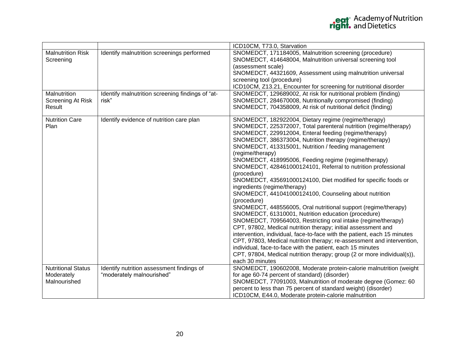|                           |                                                  | ICD10CM, T73.0, Starvation                                                                                                                |
|---------------------------|--------------------------------------------------|-------------------------------------------------------------------------------------------------------------------------------------------|
| <b>Malnutrition Risk</b>  | Identify malnutrition screenings performed       | SNOMEDCT, 171184005, Malnutrition screening (procedure)                                                                                   |
| Screening                 |                                                  | SNOMEDCT, 414648004, Malnutrition universal screening tool                                                                                |
|                           |                                                  | (assessment scale)                                                                                                                        |
|                           |                                                  | SNOMEDCT, 44321609, Assessment using malnutrition universal                                                                               |
|                           |                                                  | screening tool (procedure)                                                                                                                |
|                           |                                                  | ICD10CM, Z13.21, Encounter for screening for nutritional disorder                                                                         |
| Malnutrition              | Identify malnutrition screening findings of "at- | SNOMEDCT, 129689002, At risk for nutritional problem (finding)                                                                            |
| Screening At Risk         | risk"                                            | SNOMEDCT, 284670008, Nutritionally compromised (finding)                                                                                  |
| Result                    |                                                  | SNOMEDCT, 704358009, At risk of nutritional deficit (finding)                                                                             |
| <b>Nutrition Care</b>     | Identify evidence of nutrition care plan         | SNOMEDCT, 182922004, Dietary regime (regime/therapy)                                                                                      |
| Plan                      |                                                  | SNOMEDCT, 225372007, Total parenteral nutrition (regime/therapy)                                                                          |
|                           |                                                  | SNOMEDCT, 229912004, Enteral feeding (regime/therapy)                                                                                     |
|                           |                                                  | SNOMEDCT, 386373004, Nutrition therapy (regime/therapy)                                                                                   |
|                           |                                                  | SNOMEDCT, 413315001, Nutrition / feeding management                                                                                       |
|                           |                                                  | (regime/therapy)                                                                                                                          |
|                           |                                                  | SNOMEDCT, 418995006, Feeding regime (regime/therapy)                                                                                      |
|                           |                                                  | SNOMEDCT, 428461000124101, Referral to nutrition professional                                                                             |
|                           |                                                  | (procedure)                                                                                                                               |
|                           |                                                  | SNOMEDCT, 435691000124100, Diet modified for specific foods or                                                                            |
|                           |                                                  | ingredients (regime/therapy)                                                                                                              |
|                           |                                                  | SNOMEDCT, 441041000124100, Counseling about nutrition                                                                                     |
|                           |                                                  | (procedure)                                                                                                                               |
|                           |                                                  | SNOMEDCT, 448556005, Oral nutritional support (regime/therapy)                                                                            |
|                           |                                                  | SNOMEDCT, 61310001, Nutrition education (procedure)                                                                                       |
|                           |                                                  | SNOMEDCT, 709564003, Restricting oral intake (regime/therapy)                                                                             |
|                           |                                                  | CPT, 97802, Medical nutrition therapy; initial assessment and<br>intervention, individual, face-to-face with the patient, each 15 minutes |
|                           |                                                  | CPT, 97803, Medical nutrition therapy; re-assessment and intervention,                                                                    |
|                           |                                                  | individual, face-to-face with the patient, each 15 minutes                                                                                |
|                           |                                                  | CPT, 97804, Medical nutrition therapy; group (2 or more individual(s)),                                                                   |
|                           |                                                  | each 30 minutes                                                                                                                           |
| <b>Nutritional Status</b> | Identify nutrition assessment findings of        | SNOMEDCT, 190602008, Moderate protein-calorie malnutrition (weight                                                                        |
| Moderately                | "moderately malnourished"                        | for age 60-74 percent of standard) (disorder)                                                                                             |
| Malnourished              |                                                  | SNOMEDCT, 77091003, Malnutrition of moderate degree (Gomez: 60                                                                            |
|                           |                                                  | percent to less than 75 percent of standard weight) (disorder)                                                                            |
|                           |                                                  | ICD10CM, E44.0, Moderate protein-calorie malnutrition                                                                                     |